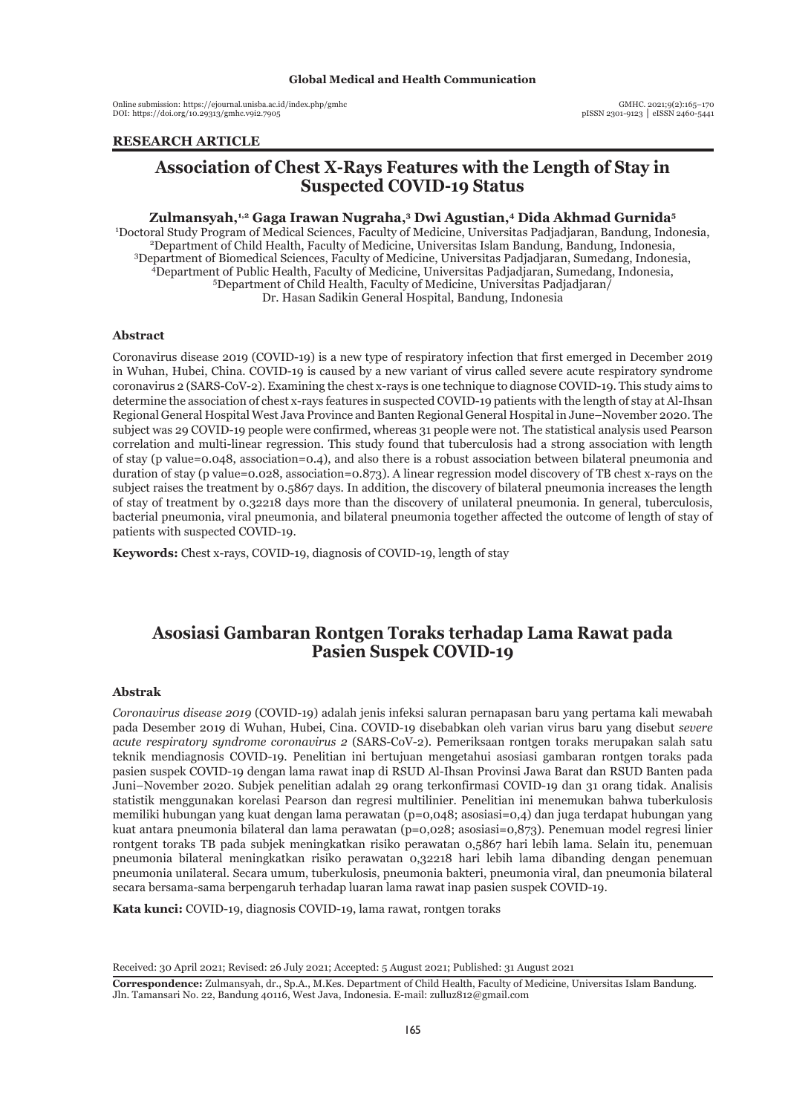Online submission: https://ejournal.unisba.ac.id/index.php/gmhc DOI: pISSN 2301-9123 │ eISSN 2460-5441 https://doi.org/10.29313/gmhc.v9i2.7905

# **RESEARCH ARTICLE**

# **Association of Chest X-Rays Features with the Length of Stay in Suspected COVID-19 Status**

#### **Zulmansyah,1,2 Gaga Irawan Nugraha,3 Dwi Agustian,4 Dida Akhmad Gurnida5**

1 Doctoral Study Program of Medical Sciences, Faculty of Medicine, Universitas Padjadjaran, Bandung, Indonesia, <sup>2</sup> <sup>2</sup>Department of Child Health, Faculty of Medicine, Universitas Islam Bandung, Bandung, Indonesia, <sup>3</sup>Department of Biomedical Sciences, Faculty of Medicine, Universitas Padjadjaran, Sumedang, Indonesia, Department of Public Health, Faculty of Medicine, Universitas Padjadjaran, Sumedang, Indonesia, <sup>5</sup> Department of Child Health, Faculty of Medicine, Universitas Padjadjaran/ Dr. Hasan Sadikin General Hospital, Bandung, Indonesia

#### **Abstract**

Coronavirus disease 2019 (COVID-19) is a new type of respiratory infection that first emerged in December 2019 in Wuhan, Hubei, China. COVID-19 is caused by a new variant of virus called severe acute respiratory syndrome coronavirus 2 (SARS-CoV-2). Examining the chest x-rays is one technique to diagnose COVID-19. This study aims to determine the association of chest x-rays features in suspected COVID-19 patients with the length of stay at Al-Ihsan Regional General Hospital West Java Province and Banten Regional General Hospital in June–November 2020. The subject was 29 COVID-19 people were confirmed, whereas 31 people were not. The statistical analysis used Pearson correlation and multi-linear regression. This study found that tuberculosis had a strong association with length of stay (p value=0.048, association=0.4), and also there is a robust association between bilateral pneumonia and duration of stay (p value=0.028, association=0.873). A linear regression model discovery of TB chest x-rays on the subject raises the treatment by 0.5867 days. In addition, the discovery of bilateral pneumonia increases the length of stay of treatment by 0.32218 days more than the discovery of unilateral pneumonia. In general, tuberculosis, bacterial pneumonia, viral pneumonia, and bilateral pneumonia together affected the outcome of length of stay of patients with suspected COVID-19.

**Keywords:** Chest x-rays, COVID-19, diagnosis of COVID-19, length of stay

# **Asosiasi Gambaran Rontgen Toraks terhadap Lama Rawat pada Pasien Suspek COVID-19**

### **Abstrak**

*Coronavirus disease 2019* (COVID-19) adalah jenis infeksi saluran pernapasan baru yang pertama kali mewabah pada Desember 2019 di Wuhan, Hubei, Cina. COVID-19 disebabkan oleh varian virus baru yang disebut *severe acute respiratory syndrome coronavirus 2* (SARS-CoV-2). Pemeriksaan rontgen toraks merupakan salah satu teknik mendiagnosis COVID-19. Penelitian ini bertujuan mengetahui asosiasi gambaran rontgen toraks pada pasien suspek COVID-19 dengan lama rawat inap di RSUD Al-Ihsan Provinsi Jawa Barat dan RSUD Banten pada Juni–November 2020. Subjek penelitian adalah 29 orang terkonfirmasi COVID-19 dan 31 orang tidak. Analisis statistik menggunakan korelasi Pearson dan regresi multilinier. Penelitian ini menemukan bahwa tuberkulosis memiliki hubungan yang kuat dengan lama perawatan (p=0,048; asosiasi=0,4) dan juga terdapat hubungan yang kuat antara pneumonia bilateral dan lama perawatan (p=0,028; asosiasi=0,873). Penemuan model regresi linier rontgent toraks TB pada subjek meningkatkan risiko perawatan 0,5867 hari lebih lama. Selain itu, penemuan pneumonia bilateral meningkatkan risiko perawatan 0,32218 hari lebih lama dibanding dengan penemuan pneumonia unilateral. Secara umum, tuberkulosis, pneumonia bakteri, pneumonia viral, dan pneumonia bilateral secara bersama-sama berpengaruh terhadap luaran lama rawat inap pasien suspek COVID-19.

**Kata kunci:** COVID-19, diagnosis COVID-19, lama rawat, rontgen toraks

Received: 30 April 2021; Revised: 26 July 2021; Accepted: 5 August 2021; Published: 31 August 2021

**Correspondence:** Zulmansyah, dr., Sp.A., M.Kes. Department of Child Health, Faculty of Medicine, Universitas Islam Bandung. Jln. Tamansari No. 22, Bandung 40116, West Java, Indonesia. E-mail: zulluz812@gmail.com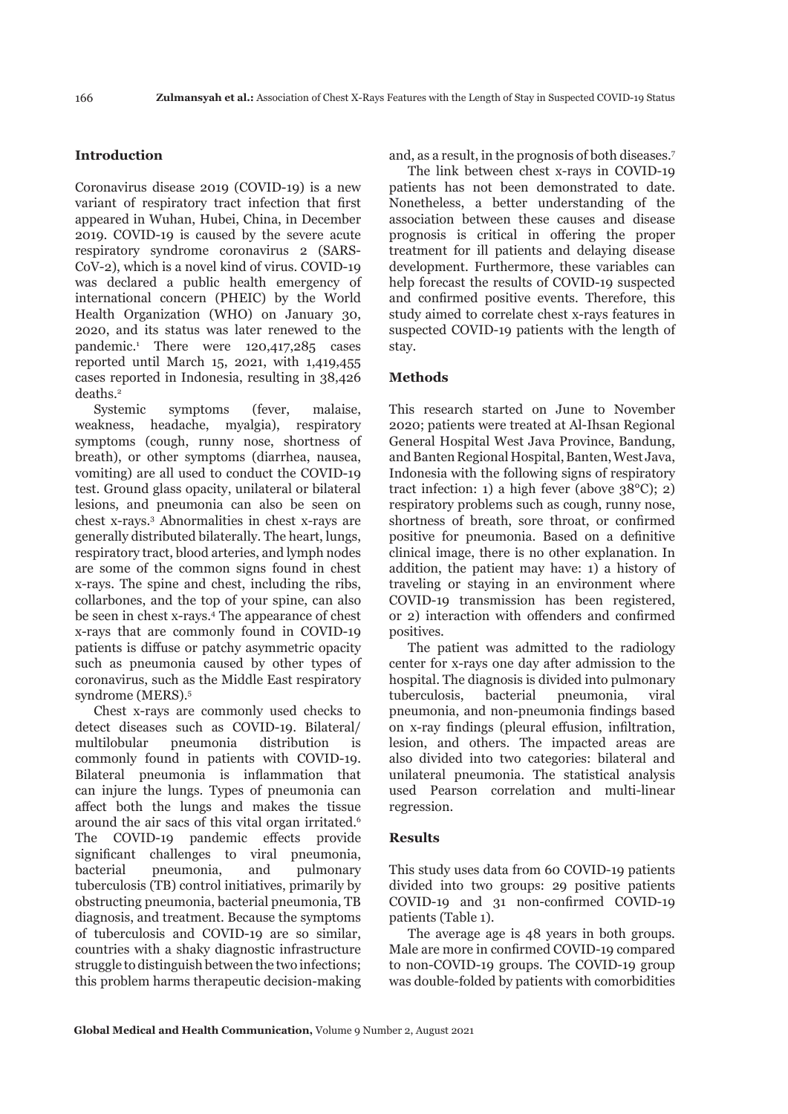## **Introduction**

Coronavirus disease 2019 (COVID-19) is a new variant of respiratory tract infection that first appeared in Wuhan, Hubei, China, in December 2019. COVID-19 is caused by the severe acute respiratory syndrome coronavirus 2 (SARS-CoV-2), which is a novel kind of virus. COVID-19 was declared a public health emergency of international concern (PHEIC) by the World Health Organization (WHO) on January 30, 2020, and its status was later renewed to the pandemic.1 There were 120,417,285 cases reported until March 15, 2021, with 1,419,455 cases reported in Indonesia, resulting in 38,426 deaths.2

Systemic symptoms (fever, malaise, weakness, headache, myalgia), respiratory symptoms (cough, runny nose, shortness of breath), or other symptoms (diarrhea, nausea, vomiting) are all used to conduct the COVID-19 test. Ground glass opacity, unilateral or bilateral lesions, and pneumonia can also be seen on chest x-rays.3 Abnormalities in chest x-rays are generally distributed bilaterally. The heart, lungs, respiratory tract, blood arteries, and lymph nodes are some of the common signs found in chest x-rays. The spine and chest, including the ribs, collarbones, and the top of your spine, can also be seen in chest x-rays.4 The appearance of chest x-rays that are commonly found in COVID-19 patients is diffuse or patchy asymmetric opacity such as pneumonia caused by other types of coronavirus, such as the Middle East respiratory syndrome (MERS).5

Chest x-rays are commonly used checks to detect diseases such as COVID-19. Bilateral/ multilobular pneumonia distribution is commonly found in patients with COVID-19. Bilateral pneumonia is inflammation that can injure the lungs. Types of pneumonia can affect both the lungs and makes the tissue around the air sacs of this vital organ irritated.<sup>6</sup> The COVID-19 pandemic effects provide significant challenges to viral pneumonia, bacterial pneumonia, and pulmonary tuberculosis (TB) control initiatives, primarily by obstructing pneumonia, bacterial pneumonia, TB diagnosis, and treatment. Because the symptoms of tuberculosis and COVID-19 are so similar, countries with a shaky diagnostic infrastructure struggle to distinguish between the two infections; this problem harms therapeutic decision-making

and, as a result, in the prognosis of both diseases.7

The link between chest x-rays in COVID-19 patients has not been demonstrated to date. Nonetheless, a better understanding of the association between these causes and disease prognosis is critical in offering the proper treatment for ill patients and delaying disease development. Furthermore, these variables can help forecast the results of COVID-19 suspected and confirmed positive events. Therefore, this study aimed to correlate chest x-rays features in suspected COVID-19 patients with the length of stay.

#### **Methods**

This research started on June to November 2020; patients were treated at Al-Ihsan Regional General Hospital West Java Province, Bandung, and Banten Regional Hospital, Banten, West Java, Indonesia with the following signs of respiratory tract infection: 1) a high fever (above 38°C); 2) respiratory problems such as cough, runny nose, shortness of breath, sore throat, or confirmed positive for pneumonia. Based on a definitive clinical image, there is no other explanation. In addition, the patient may have: 1) a history of traveling or staying in an environment where COVID-19 transmission has been registered, or 2) interaction with offenders and confirmed positives.

The patient was admitted to the radiology center for x-rays one day after admission to the hospital. The diagnosis is divided into pulmonary tuberculosis, bacterial pneumonia, viral pneumonia, and non-pneumonia findings based on x-ray findings (pleural effusion, infiltration, lesion, and others. The impacted areas are also divided into two categories: bilateral and unilateral pneumonia. The statistical analysis used Pearson correlation and multi-linear regression.

#### **Results**

This study uses data from 60 COVID-19 patients divided into two groups: 29 positive patients COVID-19 and 31 non-confirmed COVID-19 patients (Table 1).

The average age is 48 years in both groups. Male are more in confirmed COVID-19 compared to non-COVID-19 groups. The COVID-19 group was double-folded by patients with comorbidities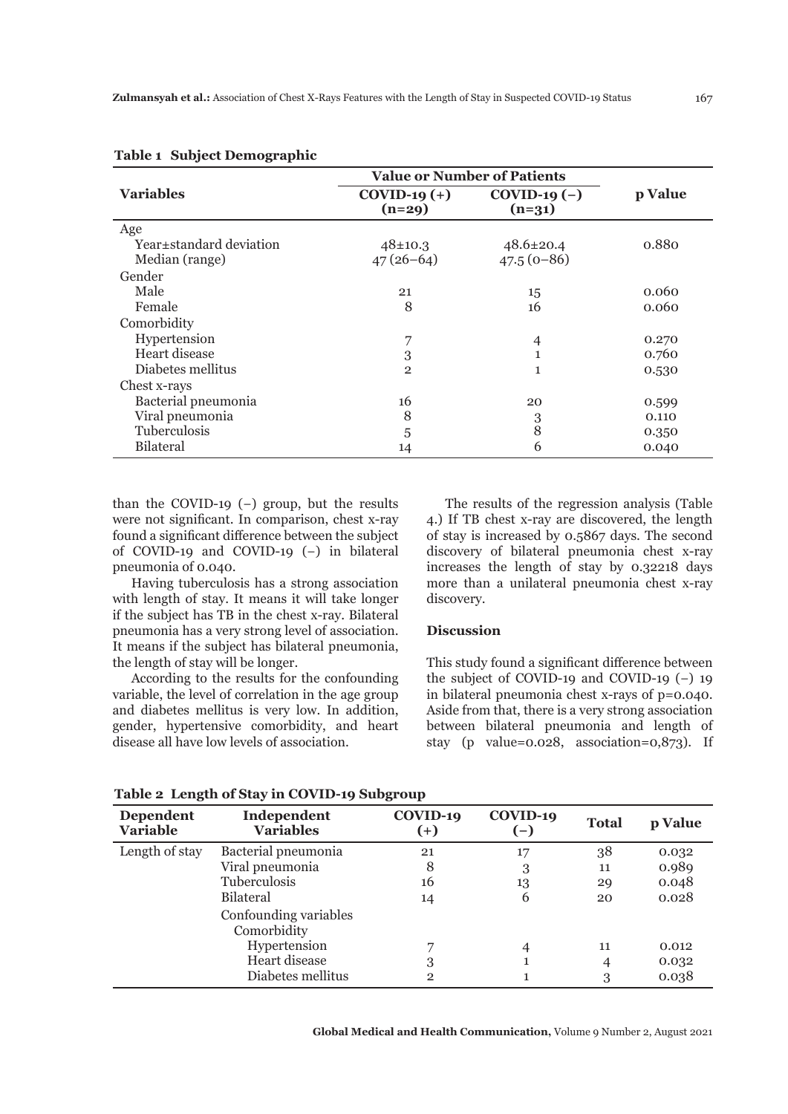|                         | <b>Value or Number of Patients</b> |                           |         |  |
|-------------------------|------------------------------------|---------------------------|---------|--|
| <b>Variables</b>        | $COVID-19 (+)$<br>$(n=29)$         | $COVID-19(-)$<br>$(n=31)$ | p Value |  |
| Age                     |                                    |                           |         |  |
| Year±standard deviation | $48 \pm 10.3$                      | $48.6 \pm 20.4$           | 0.880   |  |
| Median (range)          | $47(26-64)$                        | $47.5(0-86)$              |         |  |
| Gender                  |                                    |                           |         |  |
| Male                    | 21                                 | 15                        | 0.060   |  |
| Female                  | 8                                  | 16                        | 0.060   |  |
| Comorbidity             |                                    |                           |         |  |
| Hypertension            | 7                                  | $\overline{4}$            | 0.270   |  |
| Heart disease           | 3                                  |                           | 0.760   |  |
| Diabetes mellitus       | $\overline{2}$                     | 1                         | 0.530   |  |
| Chest x-rays            |                                    |                           |         |  |
| Bacterial pneumonia     | 16                                 | 20                        | 0.599   |  |
| Viral pneumonia         | 8                                  | 3                         | 0.110   |  |
| Tuberculosis            | 5                                  | 8                         | 0.350   |  |
| <b>Bilateral</b>        | 14                                 | 6                         | 0.040   |  |

### **Table 1 Subject Demographic**

than the COVID-19 $(-)$  group, but the results were not significant. In comparison, chest x-ray found a significant difference between the subject of COVID-19 and COVID-19 (−) in bilateral pneumonia of 0.040.

Having tuberculosis has a strong association with length of stay. It means it will take longer if the subject has TB in the chest x-ray. Bilateral pneumonia has a very strong level of association. It means if the subject has bilateral pneumonia, the length of stay will be longer.

According to the results for the confounding variable, the level of correlation in the age group and diabetes mellitus is very low. In addition, gender, hypertensive comorbidity, and heart disease all have low levels of association.

The results of the regression analysis (Table 4.) If TB chest x-ray are discovered, the length of stay is increased by 0.5867 days. The second discovery of bilateral pneumonia chest x-ray increases the length of stay by 0.32218 days more than a unilateral pneumonia chest x-ray discovery.

## **Discussion**

This study found a significant difference between the subject of COVID-19 and COVID-19 (−) 19 in bilateral pneumonia chest x-rays of p=0.040. Aside from that, there is a very strong association between bilateral pneumonia and length of stay (p value=0.028, association=0,873). If

| <b>Dependent</b><br><b>Variable</b> | Independent<br><b>Variables</b>      | COVID-19<br>$(+)$ | COVID-19 | <b>Total</b> | p Value |
|-------------------------------------|--------------------------------------|-------------------|----------|--------------|---------|
| Length of stay                      | Bacterial pneumonia                  | 21                | 17       | 38           | 0.032   |
|                                     | Viral pneumonia                      | 8                 | 3        | 11           | 0.989   |
|                                     | <b>Tuberculosis</b>                  | 16                | 13       | 29           | 0.048   |
|                                     | <b>Bilateral</b>                     | 14                | 6        | 20           | 0.028   |
|                                     | Confounding variables<br>Comorbidity |                   |          |              |         |
|                                     | Hypertension                         |                   |          | 11           | 0.012   |
|                                     | Heart disease                        | 3                 |          | 4            | 0.032   |
|                                     | Diabetes mellitus                    | $\overline{2}$    |          | 3            | 0.038   |

**Table 2 Length of Stay in COVID-19 Subgroup**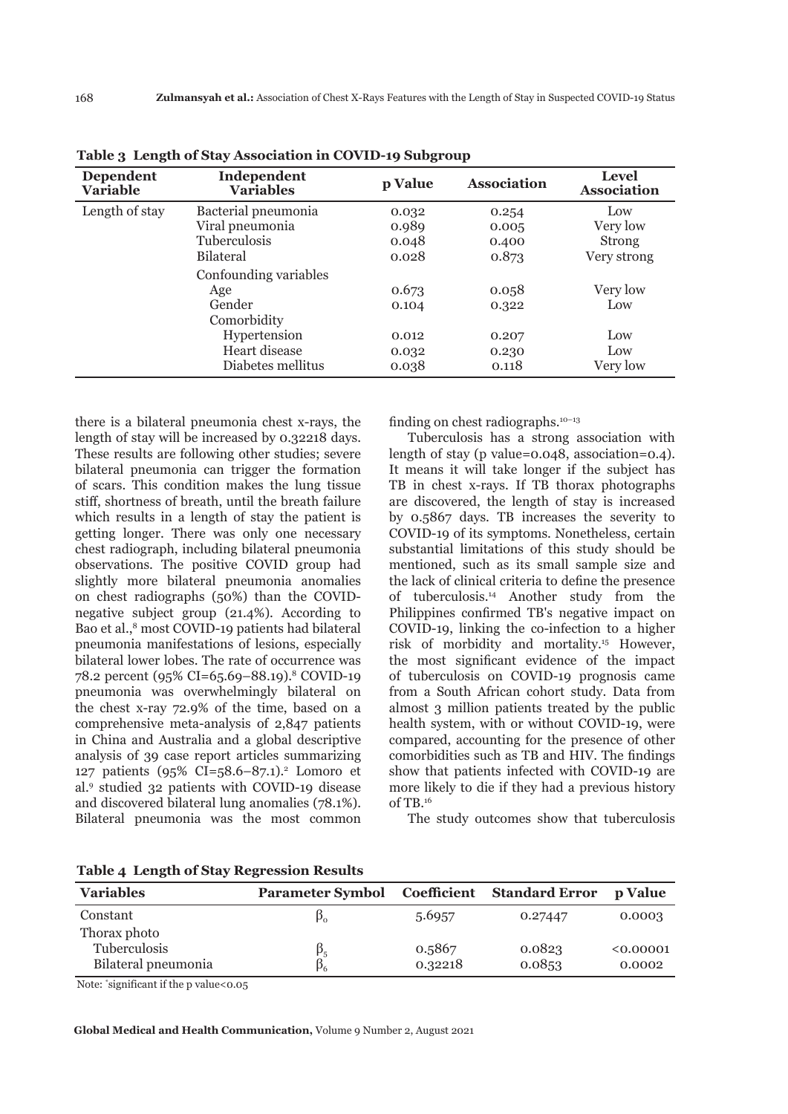| Dependent<br><b>Variable</b> | Independent<br><b>Variables</b> | p Value | <b>Association</b> | <b>Level</b><br><b>Association</b> |
|------------------------------|---------------------------------|---------|--------------------|------------------------------------|
| Length of stay               | Bacterial pneumonia             | 0.032   | 0.254              | Low                                |
|                              | Viral pneumonia                 | 0.989   | 0.005              | Very low                           |
|                              | <b>Tuberculosis</b>             | 0.048   | 0.400              | <b>Strong</b>                      |
|                              | <b>Bilateral</b>                | 0.028   | 0.873              | Very strong                        |
|                              | Confounding variables           |         |                    |                                    |
|                              | Age                             | 0.673   | 0.058              | Very low                           |
|                              | Gender                          | 0.104   | 0.322              | Low                                |
|                              | Comorbidity                     |         |                    |                                    |
|                              | Hypertension                    | 0.012   | 0.207              | Low                                |
|                              | Heart disease                   | 0.032   | 0.230              | Low                                |
|                              | Diabetes mellitus               | 0.038   | 0.118              | Very low                           |

**Table 3 Length of Stay Association in COVID-19 Subgroup**

there is a bilateral pneumonia chest x-rays, the length of stay will be increased by 0.32218 days. These results are following other studies; severe bilateral pneumonia can trigger the formation of scars. This condition makes the lung tissue stiff, shortness of breath, until the breath failure which results in a length of stay the patient is getting longer. There was only one necessary chest radiograph, including bilateral pneumonia observations. The positive COVID group had slightly more bilateral pneumonia anomalies on chest radiographs (50%) than the COVIDnegative subject group (21.4%). According to Bao et al.,<sup>8</sup> most COVID-19 patients had bilateral pneumonia manifestations of lesions, especially bilateral lower lobes. The rate of occurrence was 78.2 percent (95% CI=65.69–88.19).8 COVID-19 pneumonia was overwhelmingly bilateral on the chest x-ray 72.9% of the time, based on a comprehensive meta-analysis of 2,847 patients in China and Australia and a global descriptive analysis of 39 case report articles summarizing 127 patients (95% CI=58.6–87.1).<sup>2</sup> Lomoro et al.9 studied 32 patients with COVID-19 disease and discovered bilateral lung anomalies (78.1%). Bilateral pneumonia was the most common

finding on chest radiographs. $10-13$ 

Tuberculosis has a strong association with length of stay (p value=0.048, association=0.4). It means it will take longer if the subject has TB in chest x-rays. If TB thorax photographs are discovered, the length of stay is increased by 0.5867 days. TB increases the severity to COVID-19 of its symptoms. Nonetheless, certain substantial limitations of this study should be mentioned, such as its small sample size and the lack of clinical criteria to define the presence of tuberculosis.14 Another study from the Philippines confirmed TB's negative impact on COVID-19, linking the co-infection to a higher risk of morbidity and mortality.15 However, the most significant evidence of the impact of tuberculosis on COVID-19 prognosis came from a South African cohort study. Data from almost 3 million patients treated by the public health system, with or without COVID-19, were compared, accounting for the presence of other comorbidities such as TB and HIV. The findings show that patients infected with COVID-19 are more likely to die if they had a previous history of TB.16

The study outcomes show that tuberculosis

| <b>Variables</b>                                    | <b>Parameter Symbol</b>  |                   | <b>Coefficient Standard Error</b> | <b>p</b> Value      |
|-----------------------------------------------------|--------------------------|-------------------|-----------------------------------|---------------------|
| Constant                                            | $\beta_0$                | 5.6957            | 0.27447                           | 0.0003              |
| Thorax photo<br>Tuberculosis<br>Bilateral pneumonia | $\beta_{5}$<br>$\beta_6$ | 0.5867<br>0.32218 | 0.0823<br>0.0853                  | < 0.00001<br>0.0002 |

**Table 4 Length of Stay Regression Results**

Note: \* significant if the p value<0.05

**Global Medical and Health Communication,** Volume 9 Number 2, August 2021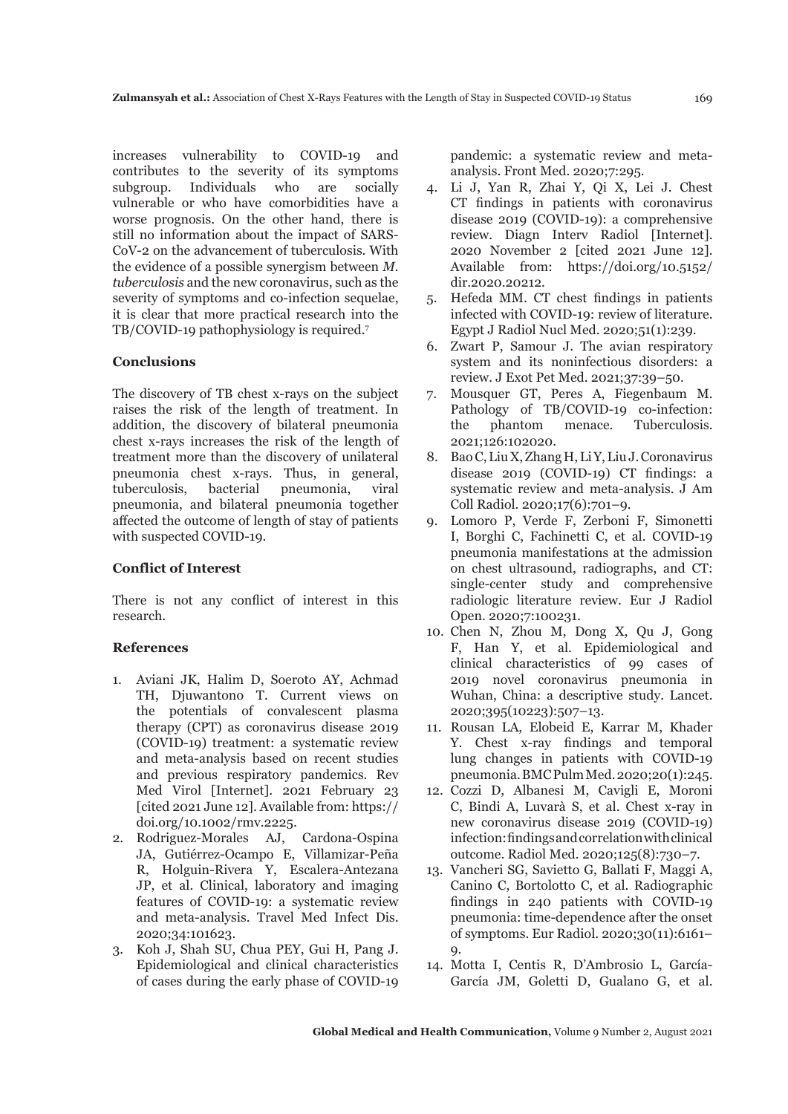increases vulnerability to COVID-19 and contributes to the severity of its symptoms subgroup. Individuals who are socially vulnerable or who have comorbidities have a worse prognosis. On the other hand, there is still no information about the impact of SARS-CoV-2 on the advancement of tuberculosis. With the evidence of a possible synergism between *M. tuberculosis* and the new coronavirus, such as the severity of symptoms and co-infection sequelae. it is clear that more practical research into the TB/COVID-19 pathophysiology is required.7

## **Conclusions**

The discovery of TB chest x-rays on the subject raises the risk of the length of treatment. In addition, the discovery of bilateral pneumonia chest x-rays increases the risk of the length of treatment more than the discovery of unilateral pneumonia chest x-rays. Thus, in general, tuberculosis, bacterial pneumonia, viral pneumonia, and bilateral pneumonia together affected the outcome of length of stay of patients with suspected COVID-19.

#### **Conflict of Interest**

There is not any conflict of interest in this research.

#### **References**

- 1. Aviani JK, Halim D, Soeroto AY, Achmad TH, Djuwantono T. Current views on the potentials of convalescent plasma therapy (CPT) as coronavirus disease 2019 (COVID-19) treatment: a systematic review and meta-analysis based on recent studies and previous respiratory pandemics. Rev Med Virol [Internet]. 2021 February 23 [cited 2021 June 12]. Available from: https:// doi.org/10.1002/rmv.2225.
- 2. Rodriguez-Morales AJ, Cardona-Ospina JA, Gutiérrez-Ocampo E, Villamizar-Peña R, Holguin-Rivera Y, Escalera-Antezana JP, et al. Clinical, laboratory and imaging features of COVID-19: a systematic review and meta-analysis. Travel Med Infect Dis. 2020;34:101623.
- 3. Koh J, Shah SU, Chua PEY, Gui H, Pang J. Epidemiological and clinical characteristics of cases during the early phase of COVID-19

pandemic: a systematic review and metaanalysis. Front Med. 2020;7:295.

- 4. Li J, Yan R, Zhai Y, Qi X, Lei J. Chest CT findings in patients with coronavirus disease 2019 (COVID-19): a comprehensive review. Diagn Interv Radiol [Internet]. 2020 November 2 [cited 2021 June 12]. Available from: https://doi.org/10.5152/ dir.2020.20212.
- 5. Hefeda MM. CT chest findings in patients infected with COVID-19: review of literature. Egypt J Radiol Nucl Med. 2020;51(1):239.
- 6. Zwart P, Samour J. The avian respiratory system and its noninfectious disorders: a review. J Exot Pet Med. 2021;37:39–50.
- 7. Mousquer GT, Peres A, Fiegenbaum M. Pathology of TB/COVID-19 co-infection: the phantom menace. Tuberculosis. 2021;126:102020.
- 8. Bao C, Liu X, Zhang H, Li Y, Liu J. Coronavirus disease 2019 (COVID-19) CT findings: a systematic review and meta-analysis. J Am Coll Radiol. 2020;17(6):701–9.
- 9. Lomoro P, Verde F, Zerboni F, Simonetti I, Borghi C, Fachinetti C, et al. COVID-19 pneumonia manifestations at the admission on chest ultrasound, radiographs, and CT: single-center study and comprehensive radiologic literature review. Eur J Radiol Open. 2020;7:100231.
- 10. Chen N, Zhou M, Dong X, Qu J, Gong F, Han Y, et al. Epidemiological and clinical characteristics of 99 cases of 2019 novel coronavirus pneumonia in Wuhan, China: a descriptive study. Lancet. 2020;395(10223):507–13.
- 11. Rousan LA, Elobeid E, Karrar M, Khader Y. Chest x-ray findings and temporal lung changes in patients with COVID-19 pneumonia. BMC Pulm Med. 2020;20(1):245.
- 12. Cozzi D, Albanesi M, Cavigli E, Moroni C, Bindi A, Luvarà S, et al. Chest x-ray in new coronavirus disease 2019 (COVID-19) infection: findings and correlation with clinical outcome. Radiol Med. 2020;125(8):730–7.
- 13. Vancheri SG, Savietto G, Ballati F, Maggi A, Canino C, Bortolotto C, et al. Radiographic findings in 240 patients with COVID-19 pneumonia: time-dependence after the onset of symptoms. Eur Radiol. 2020;30(11):6161– 9.
- 14. Motta I, Centis R, D'Ambrosio L, García-García JM, Goletti D, Gualano G, et al.